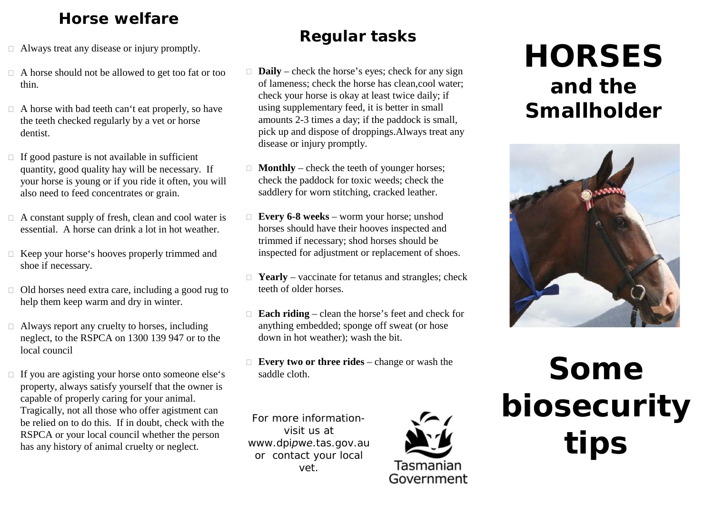## **Horse welfare**

- □ Always treat any disease or injury promptly.
- A horse should not be allowed to get too fat or too thin.
- □ A horse with bad teeth can't eat properly, so have the teeth checked regularly by a vet or horse dentist.
- $\Box$  If good pasture is not available in sufficient quantity, good quality hay will be necessary. If your horse is young or if you ride it often, you will also need to feed concentrates or grain.
- □ A constant supply of fresh, clean and cool water is essential. A horse can drink a lot in hot weather.
- □ Keep your horse's hooves properly trimmed and shoe if necessary.
- □ Old horses need extra care, including a good rug to help them keep warm and dry in winter.
- □ Always report any cruelty to horses, including neglect, to the RSPCA on 1300 139 947 or to the local council
- $\Box$  If you are agisting your horse onto someone else's property, always satisfy yourself that the owner is capable of properly caring for your animal. Tragically, not all those who offer agistment can be relied on to do this. If in doubt, check with the RSPCA or your local council whether the person has any history of animal cruelty or neglect.

# **Regular tasks**

- □ **Daily** check the horse's eyes; check for any sign of lameness; check the horse has clean,cool water; check your horse is okay at least twice daily; if using supplementary feed, it is better in small amounts 2-3 times a day; if the paddock is small, pick up and dispose of droppings.Always treat any disease or injury promptly.
- □ **Monthly** check the teeth of younger horses; check the paddock for toxic weeds; check the saddlery for worn stitching, cracked leather.
- **Every 6-8 weeks**  worm your horse; unshod horses should have their hooves inspected and trimmed if necessary; shod horses should be inspected for adjustment or replacement of shoes.
- □ **Yearly** vaccinate for tetanus and strangles; check teeth of older horses.
- □ **Each riding** clean the horse's feet and check for anything embedded; sponge off sweat (or hose down in hot weather); wash the bit.
- **Every two or three rides**  change or wash the saddle cloth.

*For more informationvisit us at www.dpipwe.tas.gov.au or contact your local vet.*



# **HORSES and the Smallholder**



# **Some<br>
Some<br>
Some<br>
Tasmanian Government**